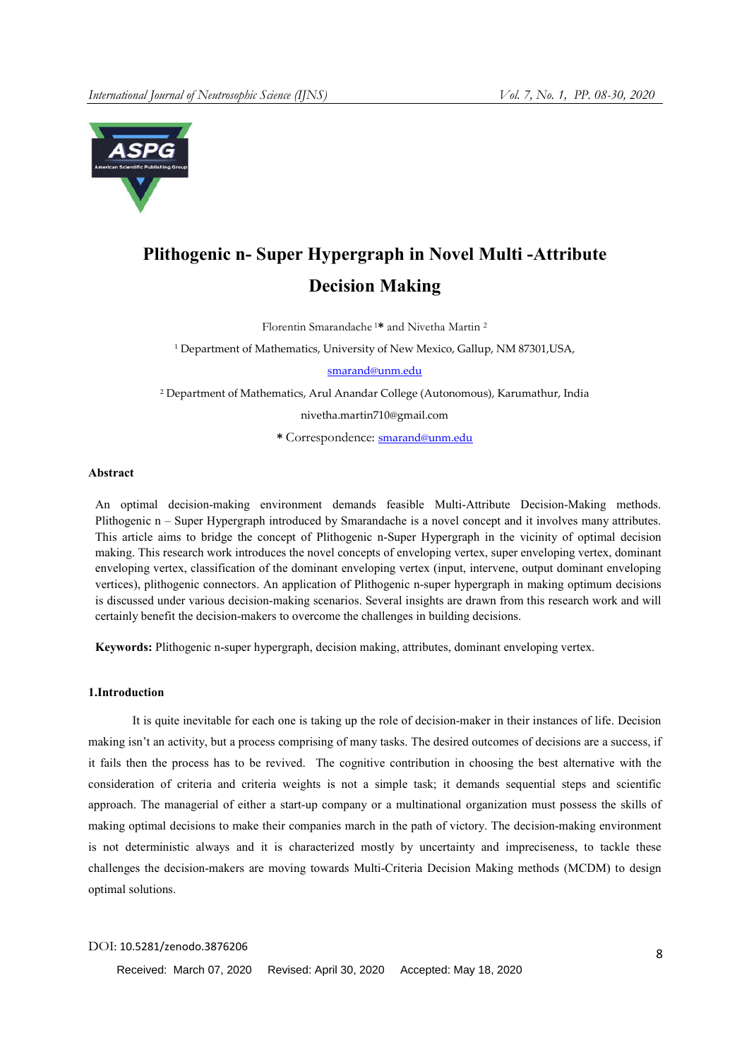

# Plithogenic n- Super Hypergraph in Novel Multi -Attribute Decision Making

Florentin Smarandache <sup>1</sup>\* and Nivetha Martin 2

<sup>1</sup> Department of Mathematics, University of New Mexico, Gallup, NM 87301, USA,

## smarand@unm.edu

<sup>2</sup> Department of Mathematics, Arul Anandar College (Autonomous), Karumathur, India

nivetha.martin710@gmail.com

\* Correspondence: smarand@unm.edu

## Abstract

An optimal decision-making environment demands feasible Multi-Attribute Decision-Making methods. Plithogenic n – Super Hypergraph introduced by Smarandache is a novel concept and it involves many attributes. This article aims to bridge the concept of Plithogenic n-Super Hypergraph in the vicinity of optimal decision making. This research work introduces the novel concepts of enveloping vertex, super enveloping vertex, dominant enveloping vertex, classification of the dominant enveloping vertex (input, intervene, output dominant enveloping vertices), plithogenic connectors. An application of Plithogenic n-super hypergraph in making optimum decisions is discussed under various decision-making scenarios. Several insights are drawn from this research work and will certainly benefit the decision-makers to overcome the challenges in building decisions.

Keywords: Plithogenic n-super hypergraph, decision making, attributes, dominant enveloping vertex.

## 1.Introduction

It is quite inevitable for each one is taking up the role of decision-maker in their instances of life. Decision making isn't an activity, but a process comprising of many tasks. The desired outcomes of decisions are a success, if it fails then the process has to be revived. The cognitive contribution in choosing the best alternative with the consideration of criteria and criteria weights is not a simple task; it demands sequential steps and scientific approach. The managerial of either a start-up company or a multinational organization must possess the skills of making optimal decisions to make their companies march in the path of victory. The decision-making environment is not deterministic always and it is characterized mostly by uncertainty and impreciseness, to tackle these challenges the decision-makers are moving towards Multi-Criteria Decision Making methods (MCDM) to design optimal solutions.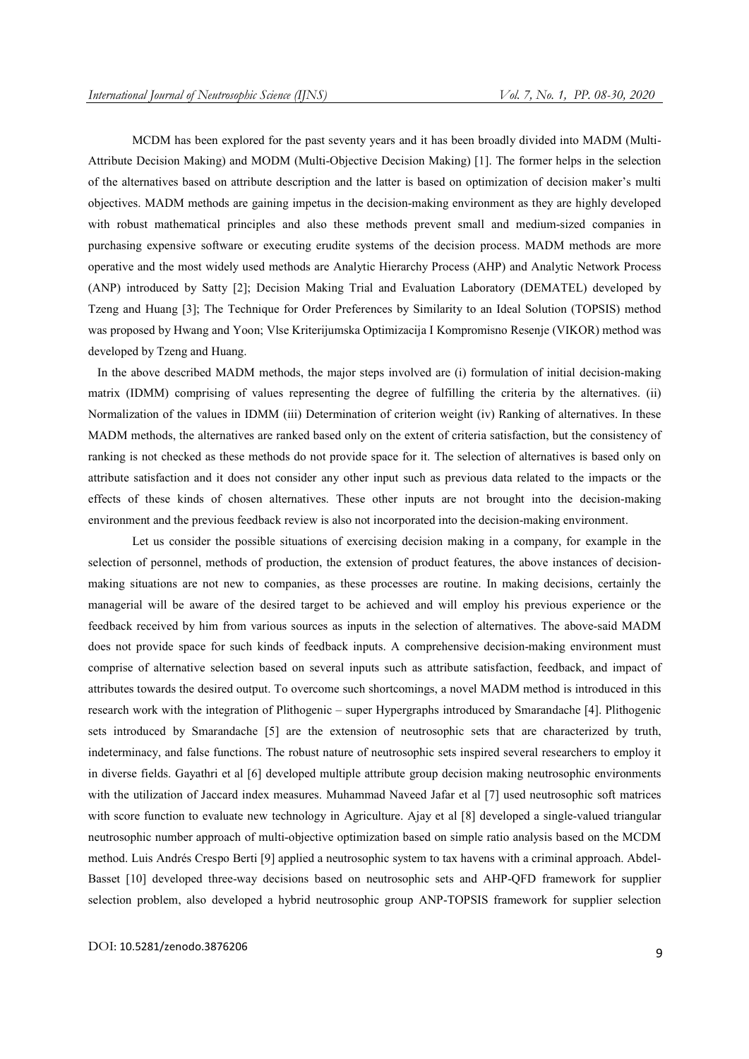MCDM has been explored for the past seventy years and it has been broadly divided into MADM (Multi-Attribute Decision Making) and MODM (Multi-Objective Decision Making) [1]. The former helps in the selection of the alternatives based on attribute description and the latter is based on optimization of decision maker's multi objectives. MADM methods are gaining impetus in the decision-making environment as they are highly developed with robust mathematical principles and also these methods prevent small and medium-sized companies in purchasing expensive software or executing erudite systems of the decision process. MADM methods are more operative and the most widely used methods are Analytic Hierarchy Process (AHP) and Analytic Network Process (ANP) introduced by Satty [2]; Decision Making Trial and Evaluation Laboratory (DEMATEL) developed by Tzeng and Huang [3]; The Technique for Order Preferences by Similarity to an Ideal Solution (TOPSIS) method was proposed by Hwang and Yoon; Vlse Kriterijumska Optimizacija I Kompromisno Resenje (VIKOR) method was developed by Tzeng and Huang.

 In the above described MADM methods, the major steps involved are (i) formulation of initial decision-making matrix (IDMM) comprising of values representing the degree of fulfilling the criteria by the alternatives. (ii) Normalization of the values in IDMM (iii) Determination of criterion weight (iv) Ranking of alternatives. In these MADM methods, the alternatives are ranked based only on the extent of criteria satisfaction, but the consistency of ranking is not checked as these methods do not provide space for it. The selection of alternatives is based only on attribute satisfaction and it does not consider any other input such as previous data related to the impacts or the effects of these kinds of chosen alternatives. These other inputs are not brought into the decision-making environment and the previous feedback review is also not incorporated into the decision-making environment.

Let us consider the possible situations of exercising decision making in a company, for example in the selection of personnel, methods of production, the extension of product features, the above instances of decisionmaking situations are not new to companies, as these processes are routine. In making decisions, certainly the managerial will be aware of the desired target to be achieved and will employ his previous experience or the feedback received by him from various sources as inputs in the selection of alternatives. The above-said MADM does not provide space for such kinds of feedback inputs. A comprehensive decision-making environment must comprise of alternative selection based on several inputs such as attribute satisfaction, feedback, and impact of attributes towards the desired output. To overcome such shortcomings, a novel MADM method is introduced in this research work with the integration of Plithogenic – super Hypergraphs introduced by Smarandache [4]. Plithogenic sets introduced by Smarandache [5] are the extension of neutrosophic sets that are characterized by truth, indeterminacy, and false functions. The robust nature of neutrosophic sets inspired several researchers to employ it in diverse fields. Gayathri et al [6] developed multiple attribute group decision making neutrosophic environments with the utilization of Jaccard index measures. Muhammad Naveed Jafar et al [7] used neutrosophic soft matrices with score function to evaluate new technology in Agriculture. Ajay et al [8] developed a single-valued triangular neutrosophic number approach of multi-objective optimization based on simple ratio analysis based on the MCDM method. Luis Andrés Crespo Berti [9] applied a neutrosophic system to tax havens with a criminal approach. Abdel-Basset [10] developed three-way decisions based on neutrosophic sets and AHP-QFD framework for supplier selection problem, also developed a hybrid neutrosophic group ANP-TOPSIS framework for supplier selection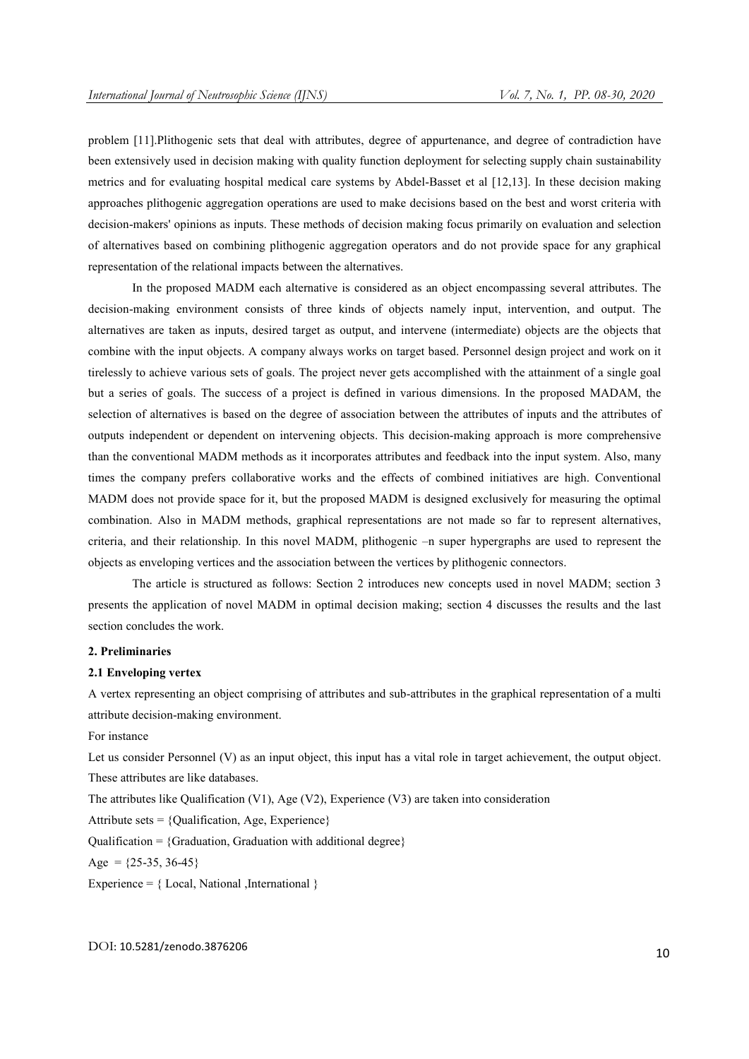problem [11].Plithogenic sets that deal with attributes, degree of appurtenance, and degree of contradiction have been extensively used in decision making with quality function deployment for selecting supply chain sustainability metrics and for evaluating hospital medical care systems by Abdel-Basset et al [12,13]. In these decision making approaches plithogenic aggregation operations are used to make decisions based on the best and worst criteria with decision-makers' opinions as inputs. These methods of decision making focus primarily on evaluation and selection of alternatives based on combining plithogenic aggregation operators and do not provide space for any graphical representation of the relational impacts between the alternatives.

In the proposed MADM each alternative is considered as an object encompassing several attributes. The decision-making environment consists of three kinds of objects namely input, intervention, and output. The alternatives are taken as inputs, desired target as output, and intervene (intermediate) objects are the objects that combine with the input objects. A company always works on target based. Personnel design project and work on it tirelessly to achieve various sets of goals. The project never gets accomplished with the attainment of a single goal but a series of goals. The success of a project is defined in various dimensions. In the proposed MADAM, the selection of alternatives is based on the degree of association between the attributes of inputs and the attributes of outputs independent or dependent on intervening objects. This decision-making approach is more comprehensive than the conventional MADM methods as it incorporates attributes and feedback into the input system. Also, many times the company prefers collaborative works and the effects of combined initiatives are high. Conventional MADM does not provide space for it, but the proposed MADM is designed exclusively for measuring the optimal combination. Also in MADM methods, graphical representations are not made so far to represent alternatives, criteria, and their relationship. In this novel MADM, plithogenic –n super hypergraphs are used to represent the objects as enveloping vertices and the association between the vertices by plithogenic connectors.

The article is structured as follows: Section 2 introduces new concepts used in novel MADM; section 3 presents the application of novel MADM in optimal decision making; section 4 discusses the results and the last section concludes the work.

#### 2. Preliminaries

#### 2.1 Enveloping vertex

A vertex representing an object comprising of attributes and sub-attributes in the graphical representation of a multi attribute decision-making environment.

For instance

Let us consider Personnel (V) as an input object, this input has a vital role in target achievement, the output object. These attributes are like databases.

The attributes like Qualification (V1), Age (V2), Experience (V3) are taken into consideration

Attribute sets =  ${Qualification, Age, Experience}$ 

Qualification = {Graduation, Graduation with additional degree}

Age =  ${25-35, 36-45}$ 

Experience =  $\{Local, National, International\}$ 

DOI: 10.5281/zenodo.3876206 10 and 10 and 10 and 10 and 10 and 10 and 10 and 10 and 10 and 10 and 10 and 10 and 10 and 10 and 10 and 10 and 10 and 10 and 10 and 10 and 10 and 10 and 10 and 10 and 10 and 10 and 10 and 10 an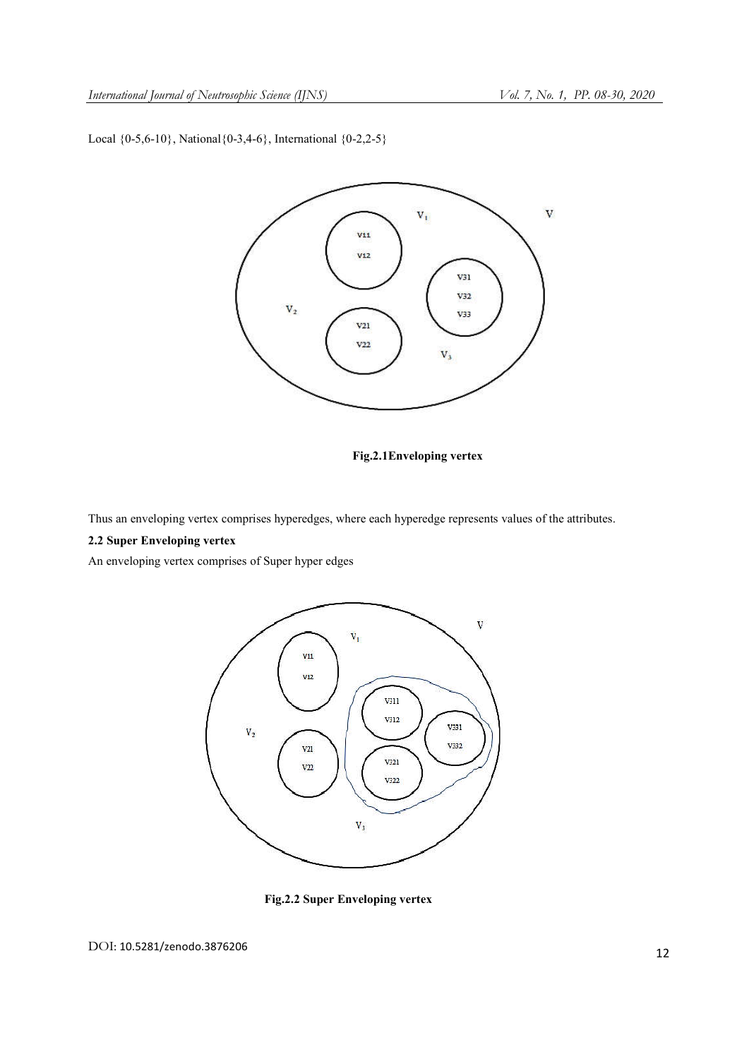Local  ${0-5,6-10}$ , National  ${0-3,4-6}$ , International  ${0-2,2-5}$ 



Fig.2.1Enveloping vertex

Thus an enveloping vertex comprises hyperedges, where each hyperedge represents values of the attributes.

# 2.2 Super Enveloping vertex

An enveloping vertex comprises of Super hyper edges



Fig.2.2 Super Enveloping vertex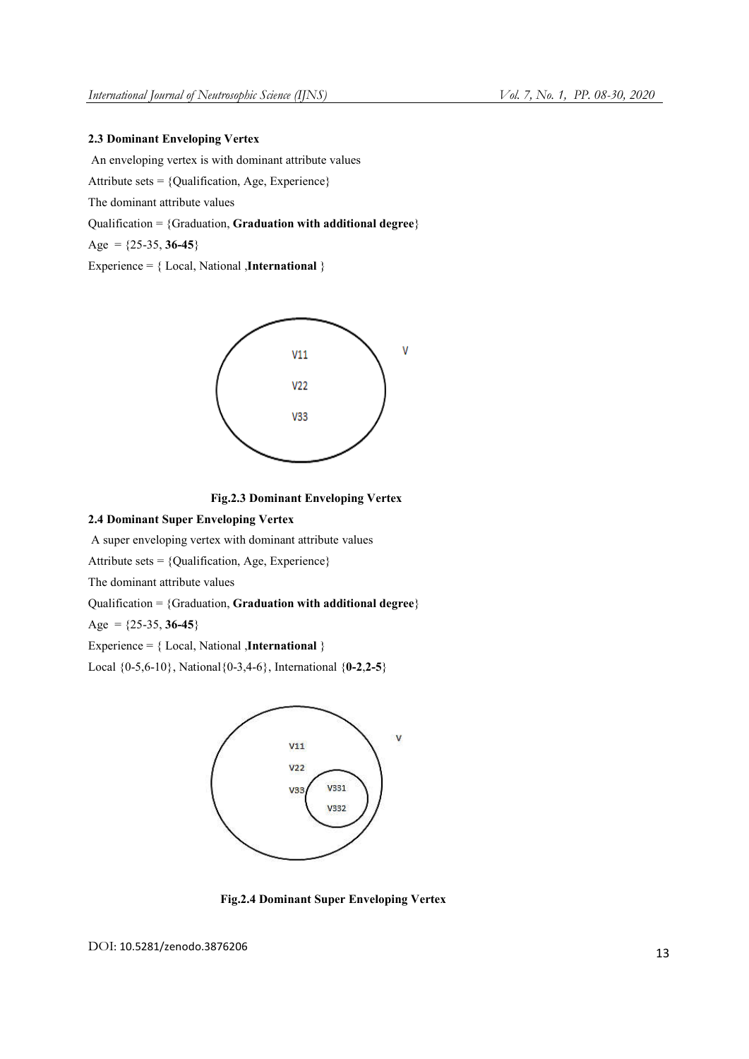# 2.3 Dominant Enveloping Vertex

An enveloping vertex is with dominant attribute values

Attribute sets = {Qualification, Age, Experience}

The dominant attribute values

Qualification = {Graduation, Graduation with additional degree}

Age =  $\{25-35, 36-45\}$ 

Experience = { Local, National ,International }



## Fig.2.3 Dominant Enveloping Vertex

## 2.4 Dominant Super Enveloping Vertex

A super enveloping vertex with dominant attribute values

Attribute sets = {Qualification, Age, Experience}

The dominant attribute values

Qualification =  ${Gradient}$ , Graduation with additional degree $}$ 

Age =  $\{25-35, 36-45\}$ 

Experience =  ${Local, National, International }$ 

Local  $\{0-5, 6-10\}$ , National $\{0-3, 4-6\}$ , International  $\{0-2, 2-5\}$ 



Fig.2.4 Dominant Super Enveloping Vertex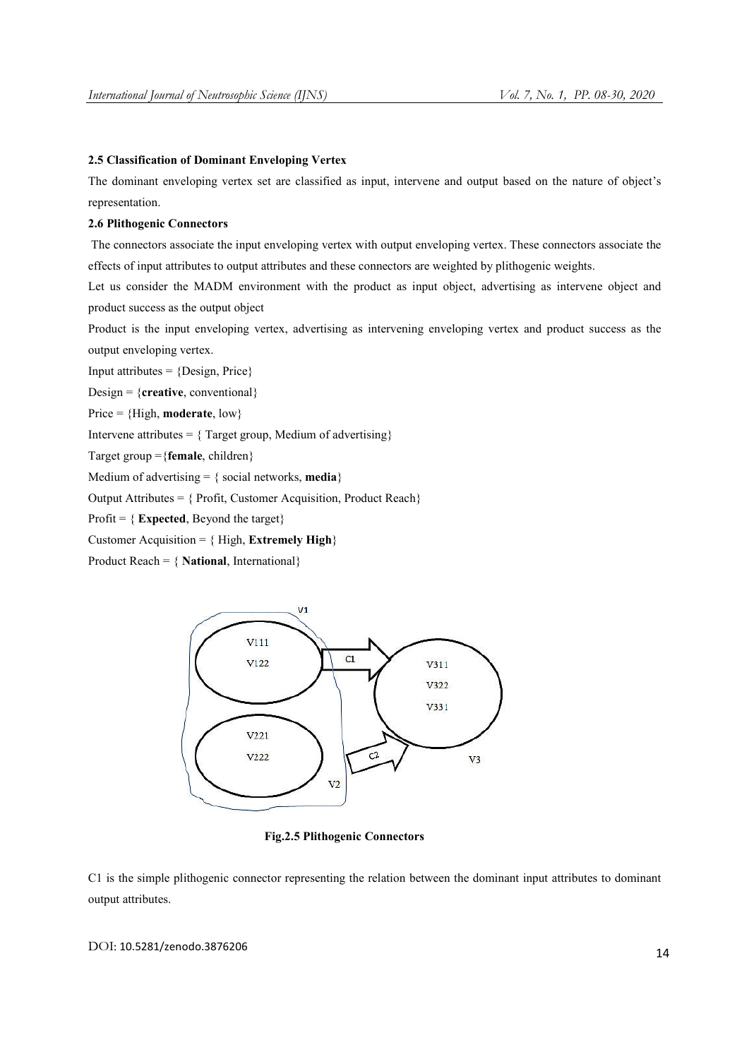# 2.5 Classification of Dominant Enveloping Vertex

The dominant enveloping vertex set are classified as input, intervene and output based on the nature of object's representation.

## 2.6 Plithogenic Connectors

The connectors associate the input enveloping vertex with output enveloping vertex. These connectors associate the effects of input attributes to output attributes and these connectors are weighted by plithogenic weights.

Let us consider the MADM environment with the product as input object, advertising as intervene object and product success as the output object

Product is the input enveloping vertex, advertising as intervening enveloping vertex and product success as the output enveloping vertex.

Input attributes  $=$  {Design, Price}

Design =  ${c}$ **reative**, conventional $}$ 

Price =  ${High, moderate, low}$ 

Intervene attributes =  $\{$  Target group, Medium of advertising $\}$ 

Target group = {female, children}

Medium of advertising  $= \{ \text{social networks}, \text{media} \}$ 

Output Attributes = { Profit, Customer Acquisition, Product Reach}

Profit =  $\{Expected, Beyond the target\}$ 

Customer Acquisition =  $\{ High, Extremely High \}$ 

Product Reach =  $\{ National, International\}$ 



Fig.2.5 Plithogenic Connectors

C1 is the simple plithogenic connector representing the relation between the dominant input attributes to dominant output attributes.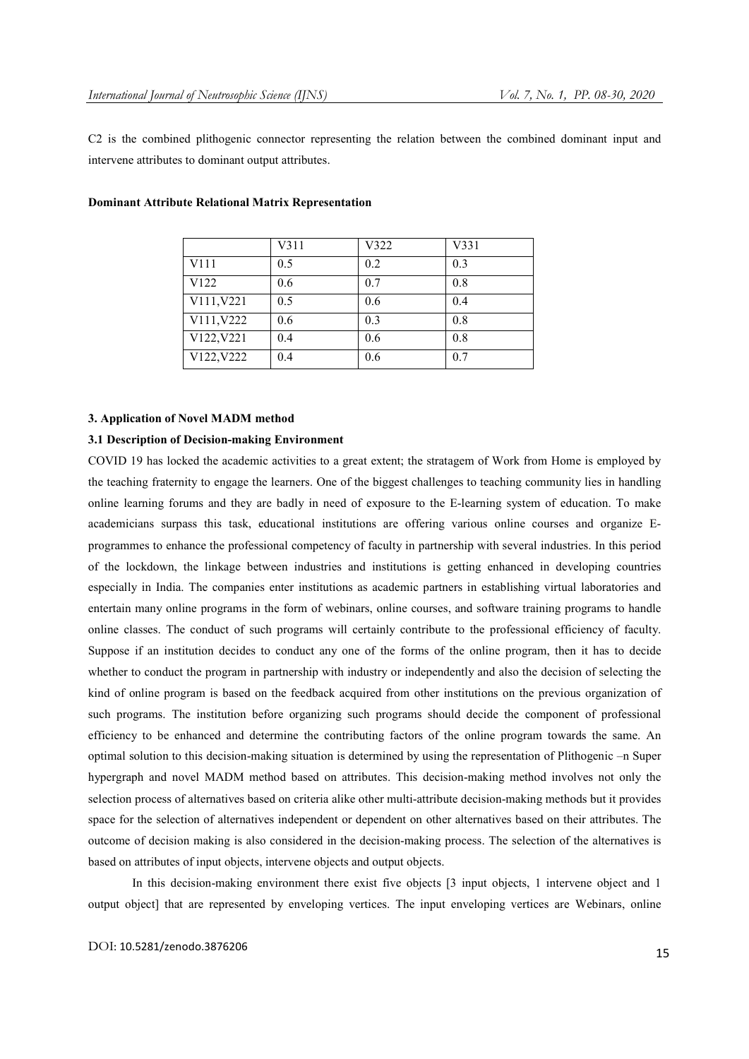C2 is the combined plithogenic connector representing the relation between the combined dominant input and intervene attributes to dominant output attributes.

|                  | V311 | V322 | V331 |
|------------------|------|------|------|
| V111             | 0.5  | 0.2  | 0.3  |
| V <sub>122</sub> | 0.6  | 0.7  | 0.8  |
| V111, V221       | 0.5  | 0.6  | 0.4  |
| V111, V222       | 0.6  | 0.3  | 0.8  |
| V122, V221       | 0.4  | 0.6  | 0.8  |
| V122, V222       | 0.4  | 0.6  | 0.7  |

#### Dominant Attribute Relational Matrix Representation

#### 3. Application of Novel MADM method

## 3.1 Description of Decision-making Environment

COVID 19 has locked the academic activities to a great extent; the stratagem of Work from Home is employed by the teaching fraternity to engage the learners. One of the biggest challenges to teaching community lies in handling online learning forums and they are badly in need of exposure to the E-learning system of education. To make academicians surpass this task, educational institutions are offering various online courses and organize Eprogrammes to enhance the professional competency of faculty in partnership with several industries. In this period of the lockdown, the linkage between industries and institutions is getting enhanced in developing countries especially in India. The companies enter institutions as academic partners in establishing virtual laboratories and entertain many online programs in the form of webinars, online courses, and software training programs to handle online classes. The conduct of such programs will certainly contribute to the professional efficiency of faculty. Suppose if an institution decides to conduct any one of the forms of the online program, then it has to decide whether to conduct the program in partnership with industry or independently and also the decision of selecting the kind of online program is based on the feedback acquired from other institutions on the previous organization of such programs. The institution before organizing such programs should decide the component of professional efficiency to be enhanced and determine the contributing factors of the online program towards the same. An optimal solution to this decision-making situation is determined by using the representation of Plithogenic –n Super hypergraph and novel MADM method based on attributes. This decision-making method involves not only the selection process of alternatives based on criteria alike other multi-attribute decision-making methods but it provides space for the selection of alternatives independent or dependent on other alternatives based on their attributes. The outcome of decision making is also considered in the decision-making process. The selection of the alternatives is based on attributes of input objects, intervene objects and output objects.

In this decision-making environment there exist five objects [3 input objects, 1 intervene object and 1 output object] that are represented by enveloping vertices. The input enveloping vertices are Webinars, online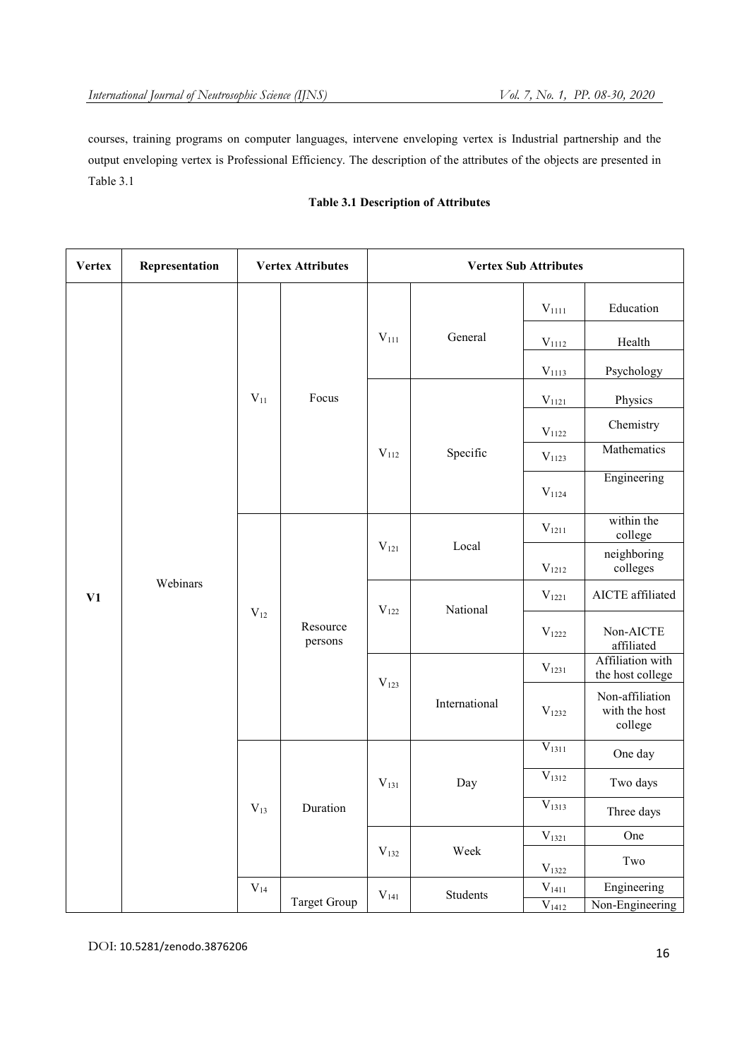courses, training programs on computer languages, intervene enveloping vertex is Industrial partnership and the output enveloping vertex is Professional Efficiency. The description of the attributes of the objects are presented in Table 3.1

# Table 3.1 Description of Attributes

| <b>Vertex</b> | Representation | <b>Vertex Attributes</b> |                     | <b>Vertex Sub Attributes</b> |                |                         |                                             |
|---------------|----------------|--------------------------|---------------------|------------------------------|----------------|-------------------------|---------------------------------------------|
|               |                |                          |                     |                              |                | $\rm V_{1111}$          | Education                                   |
|               |                |                          |                     | $V_{111}$                    | General        | $V_{1112}$              | Health                                      |
|               |                |                          |                     |                              |                | $V_{1113}$              | Psychology                                  |
|               |                | $V_{11}$                 | Focus               |                              |                | $V_{1121}$              | Physics                                     |
|               |                |                          |                     |                              |                | $\rm V_{1122}$          | Chemistry                                   |
|               |                |                          | $V_{112}$           | Specific                     | $\rm V_{1123}$ | Mathematics             |                                             |
|               |                |                          |                     |                              |                | $V_{1124}$              | Engineering                                 |
|               |                |                          |                     |                              |                | $\rm V_{1211}$          | within the<br>college                       |
|               |                |                          | $V_{121}$           | Local                        | $V_{1212}$     | neighboring<br>colleges |                                             |
| V1            | Webinars       |                          | Resource<br>persons | $V_{122}$                    | National       | $V_{1221}$              | AICTE affiliated                            |
|               |                | $V_{12}$                 |                     |                              |                | $\rm V_{1222}$          | Non-AICTE<br>affiliated                     |
|               |                |                          |                     | $\rm V_{123}$                |                | $\rm V_{1231}$          | Affiliation with<br>the host college        |
|               |                |                          |                     |                              | International  | $V_{1232}$              | Non-affiliation<br>with the host<br>college |
|               |                |                          |                     |                              |                | $V_{1311}$              | One day                                     |
|               |                |                          |                     | $V_{131}$                    | Day            | $V_{1312}$              | Two days                                    |
|               |                | $V_{13}$                 | Duration            |                              |                | $\bar{V}_{1313}$        | Three days                                  |
|               |                |                          |                     |                              |                | $V_{1321}$              | One                                         |
|               |                |                          |                     | $\rm V_{132}$                | Week           | $V_{1322}$              | Two                                         |
|               |                | $\rm V_{14}$             | Target Group        | $V_{141}$                    | Students       | $V_{1411}$              | Engineering                                 |
|               |                |                          |                     |                              |                | $V_{1412}$              | Non-Engineering                             |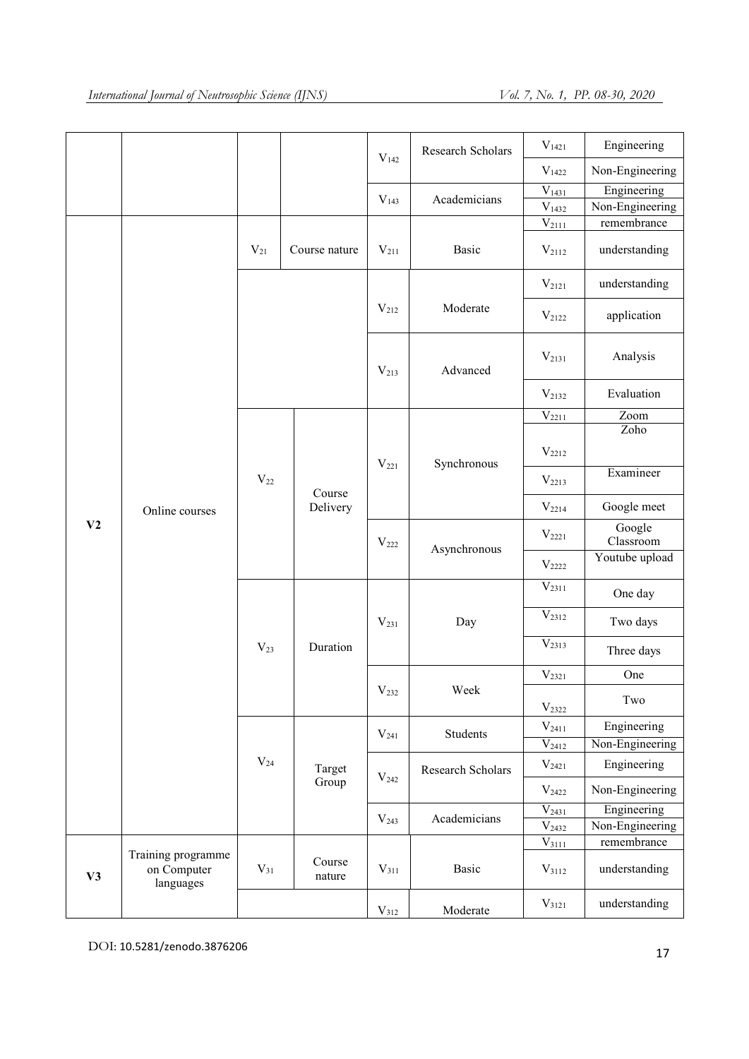|    |                                                |          |                    |                  | Research Scholars | $V_{1421}$            | Engineering         |
|----|------------------------------------------------|----------|--------------------|------------------|-------------------|-----------------------|---------------------|
|    |                                                |          |                    | V <sub>142</sub> |                   | $V_{1422}$            | Non-Engineering     |
|    |                                                |          |                    |                  |                   | $V_{1431}$            | Engineering         |
|    |                                                |          |                    | $V_{143}$        | Academicians      | $\rm V_{1432}$        | Non-Engineering     |
|    |                                                |          |                    |                  |                   | $\overline{V}_{2111}$ | remembrance         |
|    |                                                | $V_{21}$ | Course nature      | $V_{211}$        | Basic             | $V_{2112}$            | understanding       |
|    |                                                |          |                    |                  |                   | $V_{2121}$            | understanding       |
|    |                                                |          |                    | $V_{212}$        | Moderate          | $V_{2122}$            | application         |
|    |                                                |          |                    | $V_{213}$        | Advanced          | $V_{2131}$            | Analysis            |
|    |                                                |          |                    |                  |                   | $V_{2132}$            | Evaluation          |
|    |                                                |          |                    |                  |                   | $\bar{V}_{2211}$      | Zoom                |
|    | Online courses<br>V <sub>2</sub>               |          | Course<br>Delivery | $V_{221}$        |                   | $V_{2212}$            | Zoho                |
|    |                                                | $V_{22}$ |                    |                  | Synchronous       | $V_{2213}$            | Examineer           |
|    |                                                |          |                    |                  |                   | $V_{2214}$            | Google meet         |
|    |                                                |          |                    | $V_{222}$        | Asynchronous      | $V_{2221}$            | Google<br>Classroom |
|    |                                                |          |                    |                  |                   | $V_{2222}$            | Youtube upload      |
|    |                                                |          |                    |                  |                   | $\overline{V}_{2311}$ | One day             |
|    |                                                |          |                    | $V_{231}$        | Day               | $V_{2312}$            | Two days            |
|    |                                                | $V_{23}$ | Duration           |                  |                   | $V_{2313}$            | Three days          |
|    |                                                |          |                    |                  |                   | $V_{2321}$            | One                 |
|    |                                                |          |                    | $V_{232}$        | Week              | $\rm V_{2322}$        | Two                 |
|    |                                                |          |                    | $V_{241}$        | Students          | $V_{2411}$            | Engineering         |
|    |                                                |          |                    |                  |                   | $V_{2412}$            | Non-Engineering     |
|    |                                                | $V_{24}$ | Target             | V <sub>242</sub> | Research Scholars | $V_{2421}$            | Engineering         |
|    |                                                |          | Group              |                  |                   | $V_{2422}$            | Non-Engineering     |
|    |                                                |          |                    |                  | Academicians      | $V_{2431}$            | Engineering         |
|    |                                                |          |                    | V <sub>243</sub> |                   | $V_{2432}$            | Non-Engineering     |
|    |                                                |          |                    |                  |                   | $V_{3111}$            | remembrance         |
| V3 | Training programme<br>on Computer<br>languages | $V_{31}$ | Course<br>nature   | $V_{311}$        | Basic             | $V_{3112}$            | understanding       |
|    |                                                |          |                    | $V_{312}$        | Moderate          | $V_{3121}$            | understanding       |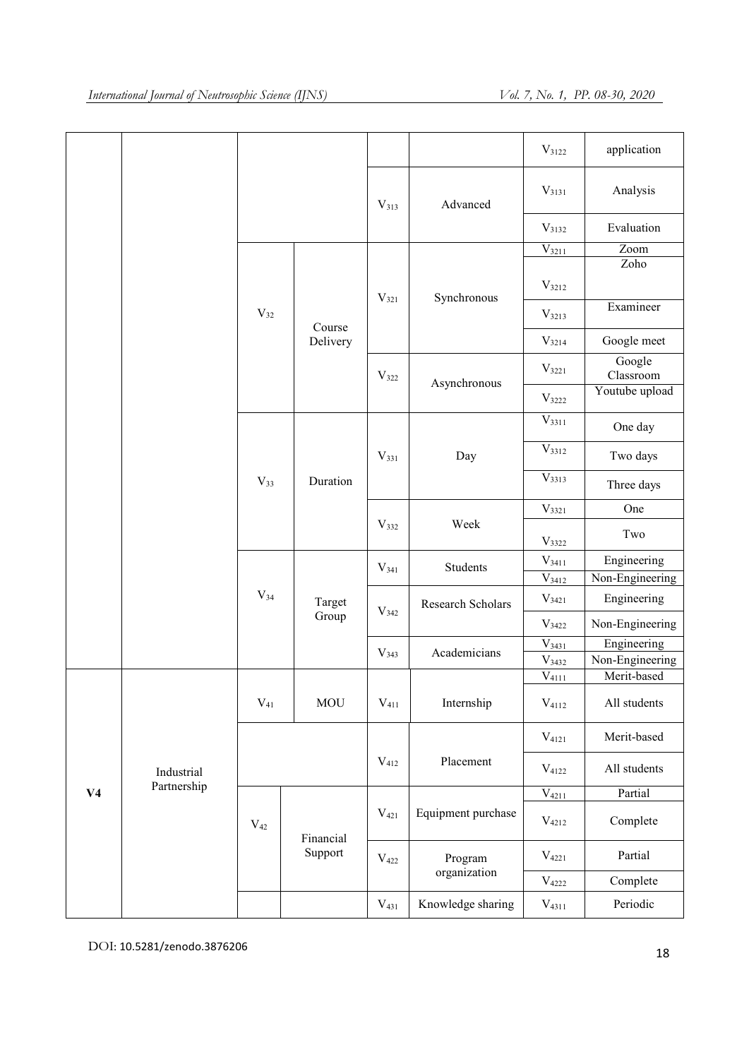|                |             |          |            |                  |                    | $V_{3122}$            | application         |
|----------------|-------------|----------|------------|------------------|--------------------|-----------------------|---------------------|
|                |             |          |            | $V_{313}$        | Advanced           | $V_{3131}$            | Analysis            |
|                |             |          |            |                  |                    | $V_{3132}$            | Evaluation          |
|                |             |          |            |                  |                    | $V_{3211}$            | Zoom                |
|                |             |          |            |                  |                    |                       | Zoho                |
|                |             |          |            | $\rm V_{321}$    | Synchronous        | $V_{3212}$            |                     |
|                |             | $V_{32}$ | Course     |                  |                    | $V_{3213}$            | Examineer           |
|                |             |          | Delivery   |                  |                    | $V_{3214}$            | Google meet         |
|                |             |          |            | $V_{322}$        |                    | $V_{3221}$            | Google<br>Classroom |
|                |             |          |            |                  | Asynchronous       | $V_{3222}$            | Youtube upload      |
|                |             |          |            |                  |                    | $V_{3311}$            | One day             |
|                |             |          |            | $\rm V_{331}$    | Day                | $V_{3312}$            | Two days            |
|                |             | $V_{33}$ | Duration   |                  |                    | $V_{3313}$            | Three days          |
|                |             |          |            |                  |                    | $V_{3321}$            | One                 |
|                |             |          |            | $V_{332}$        | Week               | $V_{3322}$            | Two                 |
|                |             |          |            | $V_{341}$        | Students           | $V_{3411}$            | Engineering         |
|                |             |          |            |                  |                    | $V_{3412}$            | Non-Engineering     |
|                |             | $V_{34}$ | Target     | $V_{342}$        | Research Scholars  | $V_{3421}$            | Engineering         |
|                |             |          | Group      |                  |                    | $V_{3422}$            | Non-Engineering     |
|                |             |          |            |                  |                    | $V_{3431}$            | Engineering         |
|                |             |          |            | V <sub>343</sub> | Academicians       | $V_{3432}$            | Non-Engineering     |
|                |             |          |            |                  |                    | $\overline{V}_{4111}$ | Merit-based         |
|                |             | $V_{41}$ | <b>MOU</b> | $\rm V_{411}$    | Internship         | $\rm V_{4112}$        | All students        |
|                |             |          |            |                  | $V_{4121}$         | Merit-based           |                     |
|                | Industrial  |          |            | $V_{412}$        | Placement          | $V_{4122}$            | All students        |
| V <sub>4</sub> | Partnership |          |            |                  |                    | $V_{4211}$            | Partial             |
|                |             | $V_{42}$ | Financial  | $V_{421}$        | Equipment purchase | $V_{4212}$            | Complete            |
|                |             |          | Support    | $\rm{V}_{422}$   | Program            | $V_{4221}$            | Partial             |
|                |             |          |            |                  | organization       | $\rm V_{4222}$        | Complete            |
|                |             |          |            | $V_{431}$        | Knowledge sharing  | $V_{4311}$            | Periodic            |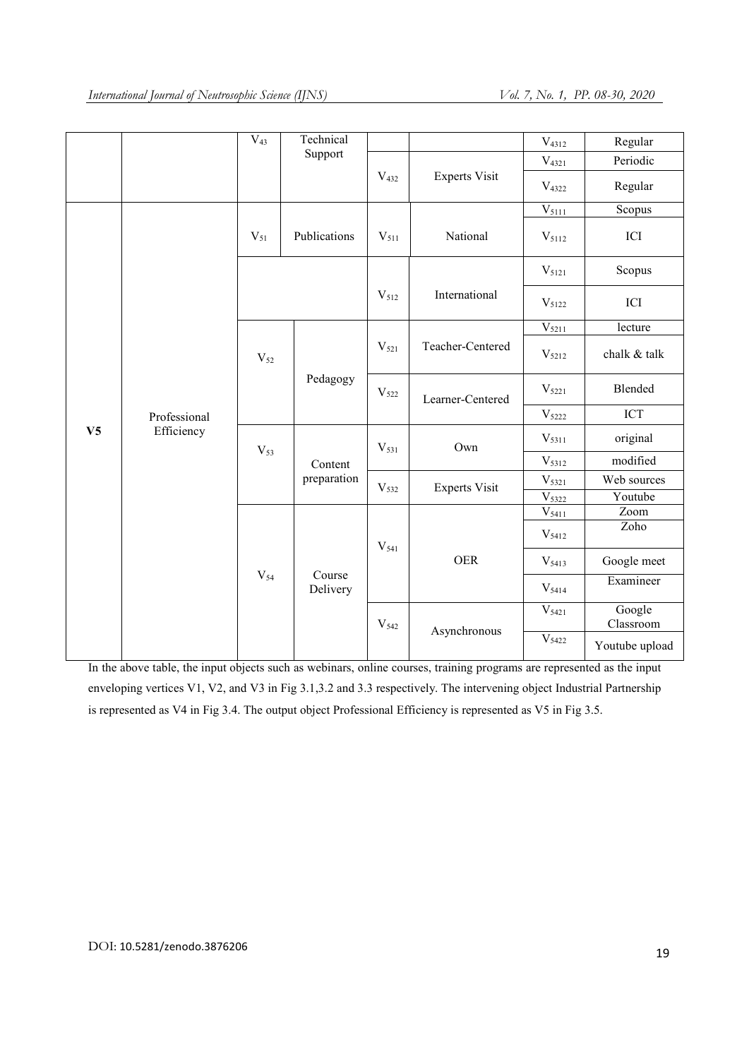|                |              | $V_{43}$ | Technical    |                  |                      | $V_{4312}$          | Regular             |
|----------------|--------------|----------|--------------|------------------|----------------------|---------------------|---------------------|
|                |              |          | Support      |                  |                      | $V_{4321}$          | Periodic            |
|                |              |          |              | $V_{432}$        | <b>Experts Visit</b> | $V_{4322}$          | Regular             |
|                |              |          |              |                  |                      | $V_{5111}$          | Scopus              |
|                |              | $V_{51}$ | Publications | $V_{511}$        | National             | $\rm V_{5112}$      | ICI                 |
|                |              |          |              |                  |                      | $V_{5121}$          | Scopus              |
|                |              |          |              | $V_{512}$        | International        | $V_{5122}$          | ICI                 |
|                |              |          |              |                  |                      | $V_{5211}$          | lecture             |
|                |              | $V_{52}$ |              | $V_{521}$        | Teacher-Centered     | $\mathrm{V}_{5212}$ | chalk & talk        |
|                |              |          | Pedagogy     | $V_{522}$        | Learner-Centered     | $V_{5221}$          | Blended             |
|                | Professional |          |              |                  |                      | $V_{5222}$          | ICT                 |
| V <sub>5</sub> | Efficiency   | $V_{53}$ |              | $V_{531}$        | Own                  | $V_{5311}$          | original            |
|                |              |          | Content      |                  |                      | V <sub>5312</sub>   | modified            |
|                |              |          | preparation  | V <sub>532</sub> | <b>Experts Visit</b> | $V_{5321}$          | Web sources         |
|                |              |          |              |                  |                      | V <sub>5322</sub>   | Youtube             |
|                |              |          |              |                  |                      | $\mathrm{V}_{5411}$ | Zoom                |
|                |              |          |              | $V_{541}$        |                      | $V_{5412}$          | Zoho                |
|                |              | $V_{54}$ | Course       |                  | <b>OER</b>           | $V_{5413}$          | Google meet         |
|                |              |          | Delivery     |                  |                      | $V_{5414}$          | Examineer           |
|                |              |          |              | V <sub>542</sub> |                      | $V_{5421}$          | Google<br>Classroom |
|                |              |          |              |                  | Asynchronous         | $V_{5422}$          | Youtube upload      |

In the above table, the input objects such as webinars, online courses, training programs are represented as the input enveloping vertices V1, V2, and V3 in Fig 3.1,3.2 and 3.3 respectively. The intervening object Industrial Partnership is represented as V4 in Fig 3.4. The output object Professional Efficiency is represented as V5 in Fig 3.5.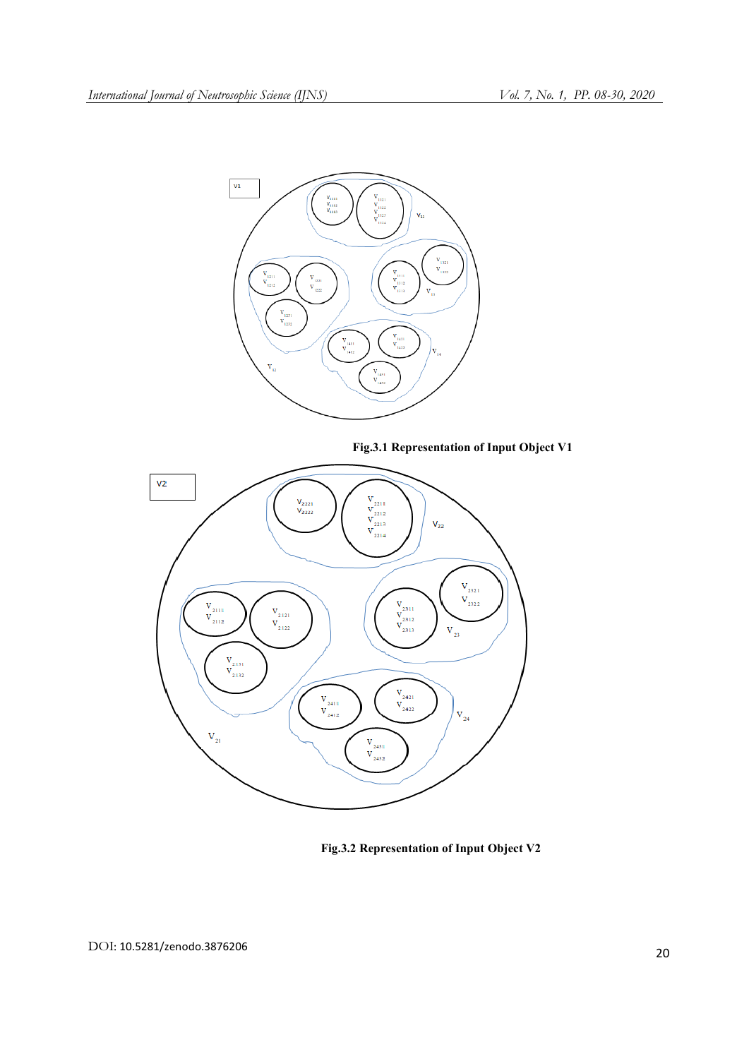

Fig.3.1 Representation of Input Object V1



Fig.3.2 Representation of Input Object V2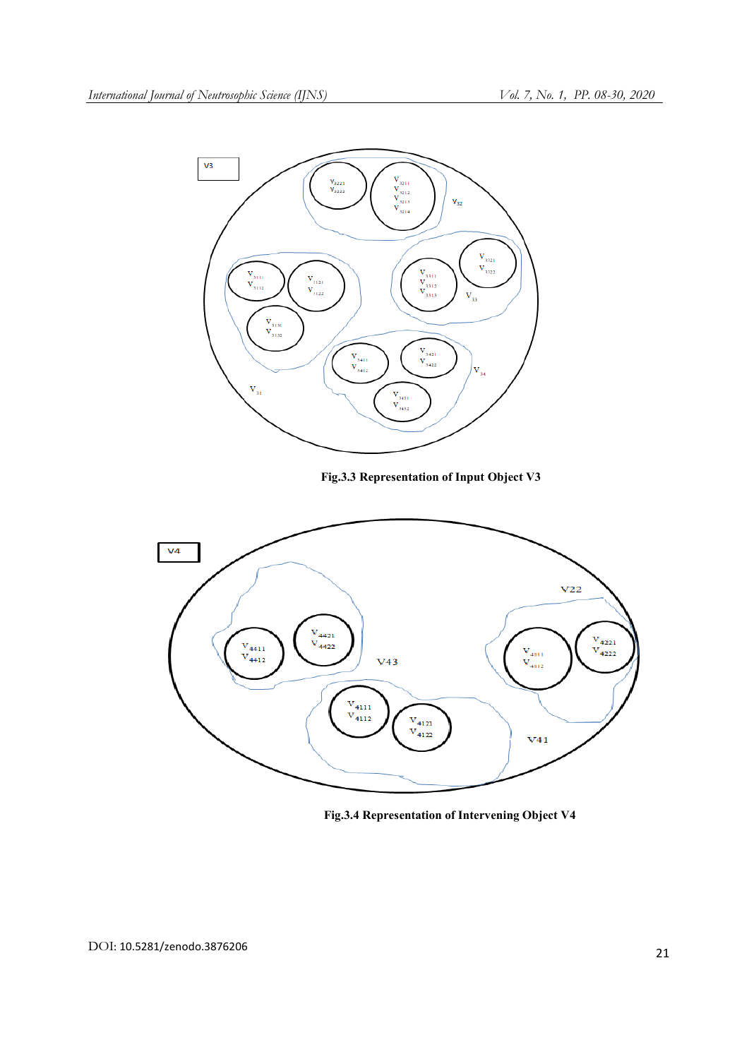

Fig.3.3 Representation of Input Object V3



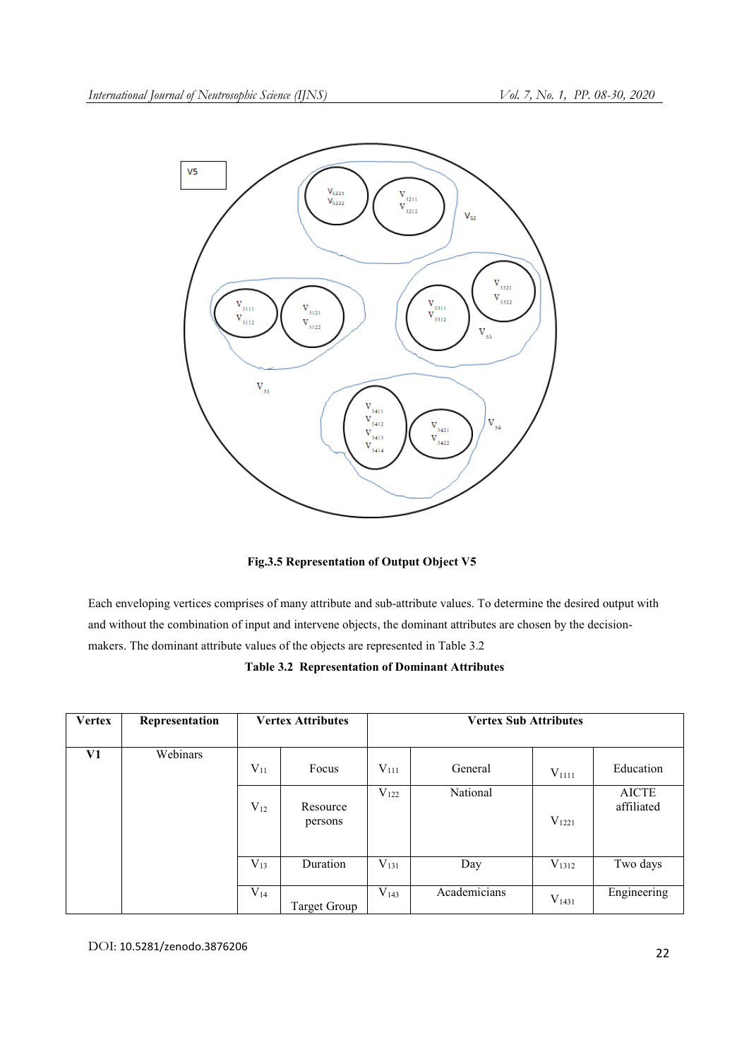

Fig.3.5 Representation of Output Object V5

Each enveloping vertices comprises of many attribute and sub-attribute values. To determine the desired output with and without the combination of input and intervene objects, the dominant attributes are chosen by the decisionmakers. The dominant attribute values of the objects are represented in Table 3.2

|  | <b>Table 3.2 Representation of Dominant Attributes</b> |
|--|--------------------------------------------------------|
|--|--------------------------------------------------------|

| <b>Vertex</b> | Representation |          | <b>Vertex Attributes</b><br><b>Vertex Sub Attributes</b> |           |              |            |                            |
|---------------|----------------|----------|----------------------------------------------------------|-----------|--------------|------------|----------------------------|
| V1            | Webinars       | $V_{11}$ | Focus                                                    | $V_{111}$ | General      | $V_{1111}$ | Education                  |
|               |                | $V_{12}$ | Resource<br>persons                                      | $V_{122}$ | National     | $V_{1221}$ | <b>AICTE</b><br>affiliated |
|               |                | $V_{13}$ | Duration                                                 | $V_{131}$ | Day          | $V_{1312}$ | Two days                   |
|               |                | $V_{14}$ | <b>Target Group</b>                                      | $V_{143}$ | Academicians | $V_{1431}$ | Engineering                |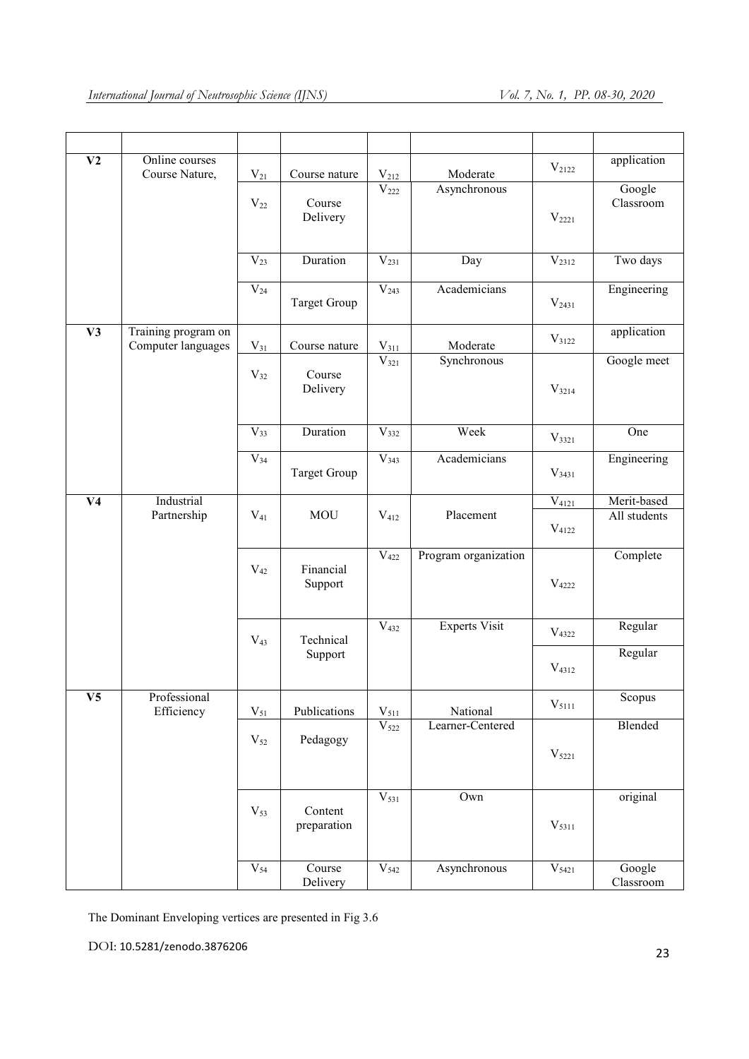| $\overline{\mathbf{V2}}$ | Online courses<br>Course Nature,          | $\rm V_{21}$        | Course nature          | $V_{212}$            | Moderate                | $V_{2122}$               | application                 |
|--------------------------|-------------------------------------------|---------------------|------------------------|----------------------|-------------------------|--------------------------|-----------------------------|
|                          |                                           | $V_{22}$            | Course<br>Delivery     | $\overline{V}_{222}$ | Asynchronous            | $V_{2221}$               | Google<br>Classroom         |
|                          |                                           | $V_{23}$            | Duration               | $V_{231}$            | Day                     | V <sub>2312</sub>        | Two days                    |
|                          |                                           | $V_{24}$            | <b>Target Group</b>    | V <sub>243</sub>     | Academicians            | $V_{2431}$               | Engineering                 |
| V3                       | Training program on<br>Computer languages | $V_{31}$            | Course nature          | $V_{311}$            | Moderate                | $\rm V_{3122}$           | application                 |
|                          |                                           | $V_{32}$            | Course<br>Delivery     | $V_{321}$            | Synchronous             | $V_{3214}$               | Google meet                 |
|                          |                                           | $\overline{V_{33}}$ | Duration               | $\overline{V}_{332}$ | Week                    | $V_{3321}$               | One                         |
|                          |                                           | $V_{34}$            | <b>Target Group</b>    | $\overline{V}_{343}$ | Academicians            | $V_{3431}$               | Engineering                 |
| V <sub>4</sub>           | Industrial<br>Partnership                 | $V_{41}$            | <b>MOU</b>             | $V_{412}$            | Placement               | $V_{4121}$<br>$V_{4122}$ | Merit-based<br>All students |
|                          |                                           | $V_{42}$            | Financial<br>Support   | $V_{422}$            | Program organization    | $V_{4222}$               | Complete                    |
|                          |                                           | $V_{43}$            | Technical              | $\overline{V}_{432}$ | <b>Experts Visit</b>    | $V_{4322}$               | Regular                     |
|                          |                                           |                     | Support                |                      |                         | $V_{4312}$               | Regular                     |
| $\overline{\mathbf{V5}}$ | Professional<br>Efficiency                | $V_{51}$            | Publications           | $V_{511}$            | National                | $\mathrm{V}_{5111}$      | Scopus                      |
|                          |                                           | $V_{52}$            | Pedagogy               | V <sub>522</sub>     | Learner-Centered        | $\mathrm{V}_{5221}$      | Blended                     |
|                          |                                           | $V_{53}$            | Content<br>preparation | $V_{531}$            | $\overline{\text{Own}}$ | $V_{5311}$               | original                    |
|                          |                                           | $V_{54}$            | Course<br>Delivery     | $V_{542}$            | Asynchronous            | $\overline{V_{5421}}$    | Google<br>Classroom         |

The Dominant Enveloping vertices are presented in Fig 3.6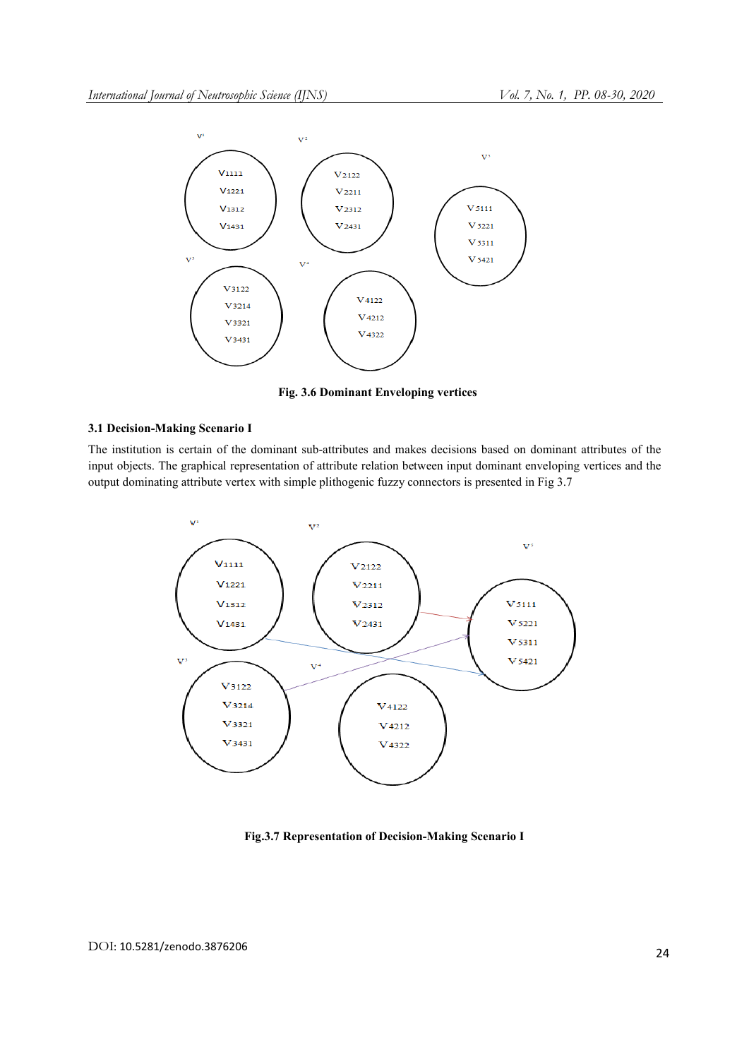

Fig. 3.6 Dominant Enveloping vertices

# 3.1 Decision-Making Scenario I

The institution is certain of the dominant sub-attributes and makes decisions based on dominant attributes of the input objects. The graphical representation of attribute relation between input dominant enveloping vertices and the output dominating attribute vertex with simple plithogenic fuzzy connectors is presented in Fig 3.7



Fig.3.7 Representation of Decision-Making Scenario I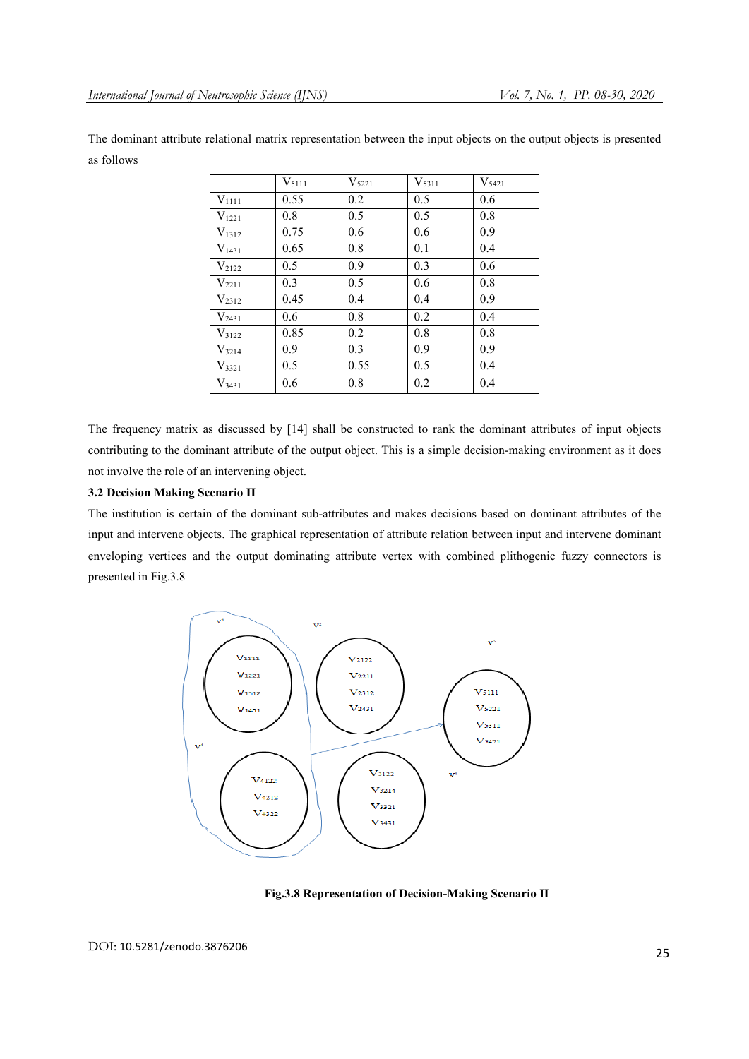The dominant attribute relational matrix representation between the input objects on the output objects is presented as follows

|            | $V_{5111}$ | $V_{5221}$ | $V_{5311}$ | $V_{5421}$ |
|------------|------------|------------|------------|------------|
| $V_{1111}$ | 0.55       | 0.2        | 0.5        | 0.6        |
| $V_{1221}$ | 0.8        | 0.5        | 0.5        | 0.8        |
| $V_{1312}$ | 0.75       | 0.6        | 0.6        | 0.9        |
| $V_{1431}$ | 0.65       | 0.8        | 0.1        | 0.4        |
| $V_{2122}$ | 0.5        | 0.9        | 0.3        | 0.6        |
| $V_{2211}$ | 0.3        | 0.5        | 0.6        | 0.8        |
| $V_{2312}$ | 0.45       | 0.4        | 0.4        | 0.9        |
| $V_{2431}$ | 0.6        | 0.8        | 0.2        | 0.4        |
| $V_{3122}$ | 0.85       | 0.2        | 0.8        | 0.8        |
| $V_{3214}$ | 0.9        | 0.3        | 0.9        | 0.9        |
| $V_{3321}$ | 0.5        | 0.55       | 0.5        | 0.4        |
| $V_{3431}$ | 0.6        | 0.8        | 0.2        | 0.4        |

The frequency matrix as discussed by [14] shall be constructed to rank the dominant attributes of input objects contributing to the dominant attribute of the output object. This is a simple decision-making environment as it does not involve the role of an intervening object.

# 3.2 Decision Making Scenario II

The institution is certain of the dominant sub-attributes and makes decisions based on dominant attributes of the input and intervene objects. The graphical representation of attribute relation between input and intervene dominant enveloping vertices and the output dominating attribute vertex with combined plithogenic fuzzy connectors is presented in Fig.3.8



Fig.3.8 Representation of Decision-Making Scenario II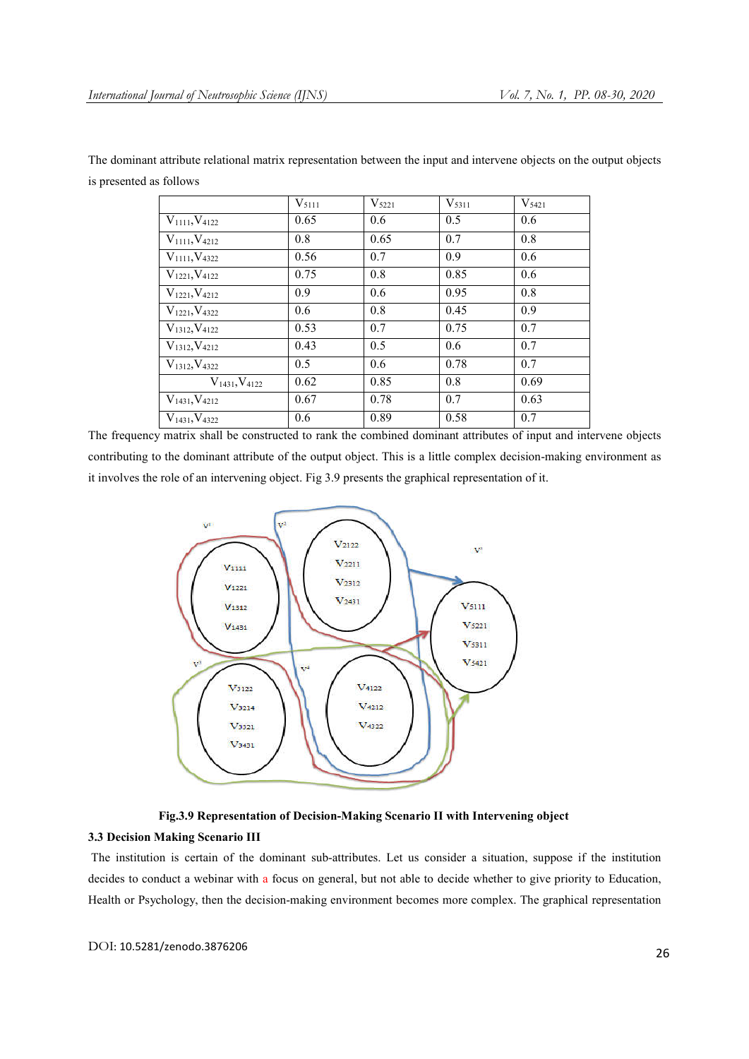|                         | $V_{5111}$ | $V_{5221}$ | $V_{5311}$ | $V_{5421}$ |
|-------------------------|------------|------------|------------|------------|
| $V_{1111}, V_{4122}$    | 0.65       | 0.6        | 0.5        | 0.6        |
| $V_{1111}, V_{4212}$    | 0.8        | 0.65       | 0.7        | 0.8        |
| $V_{1111}, V_{4322}$    | 0.56       | 0.7        | 0.9        | 0.6        |
| $V_{1221}, V_{4122}$    | 0.75       | 0.8        | 0.85       | 0.6        |
| $V_{1221}$ , $V_{4212}$ | 0.9        | 0.6        | 0.95       | 0.8        |
| $V_{1221}$ , $V_{4322}$ | 0.6        | 0.8        | 0.45       | 0.9        |
| $V_{1312}, V_{4122}$    | 0.53       | 0.7        | 0.75       | 0.7        |
| $V_{1312}, V_{4212}$    | 0.43       | 0.5        | 0.6        | 0.7        |
| $V_{1312}$ , $V_{4322}$ | 0.5        | 0.6        | 0.78       | 0.7        |
| $V_{1431}, V_{4122}$    | 0.62       | 0.85       | 0.8        | 0.69       |
| $V_{1431}, V_{4212}$    | 0.67       | 0.78       | 0.7        | 0.63       |
| $V_{1431}, V_{4322}$    | 0.6        | 0.89       | 0.58       | 0.7        |

The dominant attribute relational matrix representation between the input and intervene objects on the output objects is presented as follows

The frequency matrix shall be constructed to rank the combined dominant attributes of input and intervene objects contributing to the dominant attribute of the output object. This is a little complex decision-making environment as it involves the role of an intervening object. Fig 3.9 presents the graphical representation of it.





# 3.3 Decision Making Scenario III

The institution is certain of the dominant sub-attributes. Let us consider a situation, suppose if the institution decides to conduct a webinar with a focus on general, but not able to decide whether to give priority to Education, Health or Psychology, then the decision-making environment becomes more complex. The graphical representation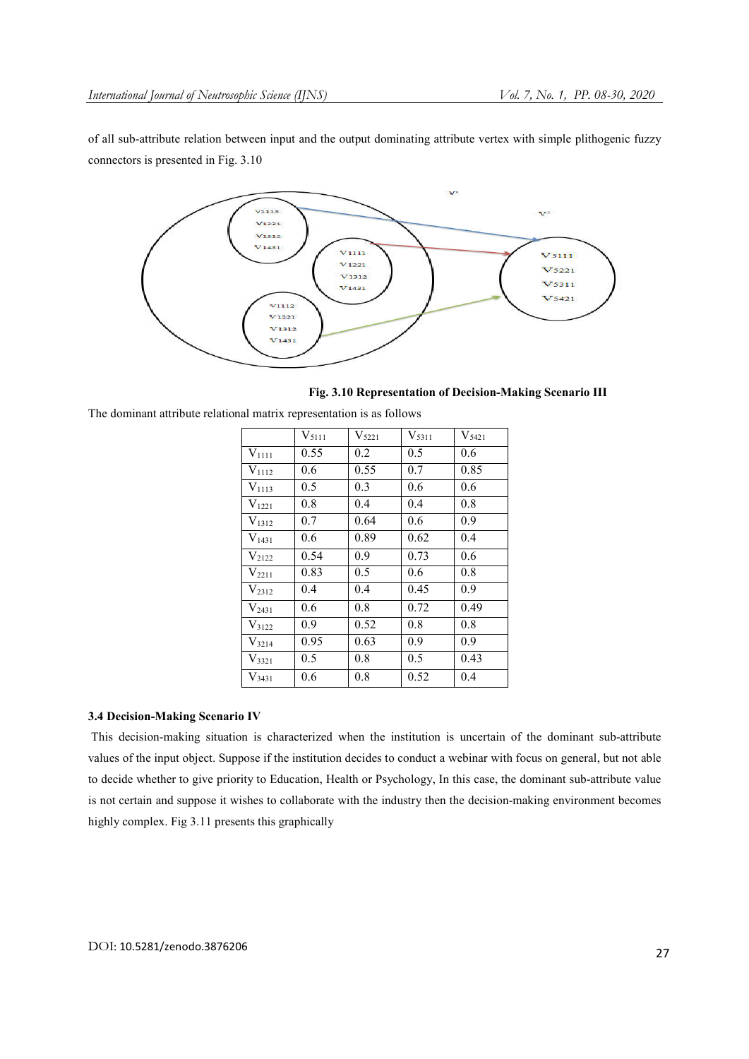of all sub-attribute relation between input and the output dominating attribute vertex with simple plithogenic fuzzy connectors is presented in Fig. 3.10



Fig. 3.10 Representation of Decision-Making Scenario III

|            | $V_{5111}$ | $V_{5221}$ | $V_{5311}$ | $V_{5421}$ |
|------------|------------|------------|------------|------------|
| $V_{1111}$ | 0.55       | 0.2        | 0.5        | 0.6        |
| $V_{1112}$ | 0.6        | 0.55       | 0.7        | 0.85       |
| $V_{1113}$ | 0.5        | 0.3        | 0.6        | 0.6        |
| $V_{1221}$ | 0.8        | 0.4        | 0.4        | 0.8        |
| $V_{1312}$ | 0.7        | 0.64       | 0.6        | 0.9        |
| $V_{1431}$ | 0.6        | 0.89       | 0.62       | 0.4        |
| $V_{2122}$ | 0.54       | 0.9        | 0.73       | 0.6        |
| $V_{2211}$ | 0.83       | 0.5        | 0.6        | 0.8        |
| $V_{2312}$ | 0.4        | 0.4        | 0.45       | 0.9        |
| $V_{2431}$ | 0.6        | 0.8        | 0.72       | 0.49       |
| $V_{3122}$ | 0.9        | 0.52       | 0.8        | 0.8        |
| $V_{3214}$ | 0.95       | 0.63       | 0.9        | 0.9        |
| $V_{3321}$ | 0.5        | 0.8        | 0.5        | 0.43       |
| $V_{3431}$ | 0.6        | 0.8        | 0.52       | 0.4        |

The dominant attribute relational matrix representation is as follows

## 3.4 Decision-Making Scenario IV

This decision-making situation is characterized when the institution is uncertain of the dominant sub-attribute values of the input object. Suppose if the institution decides to conduct a webinar with focus on general, but not able to decide whether to give priority to Education, Health or Psychology, In this case, the dominant sub-attribute value is not certain and suppose it wishes to collaborate with the industry then the decision-making environment becomes highly complex. Fig 3.11 presents this graphically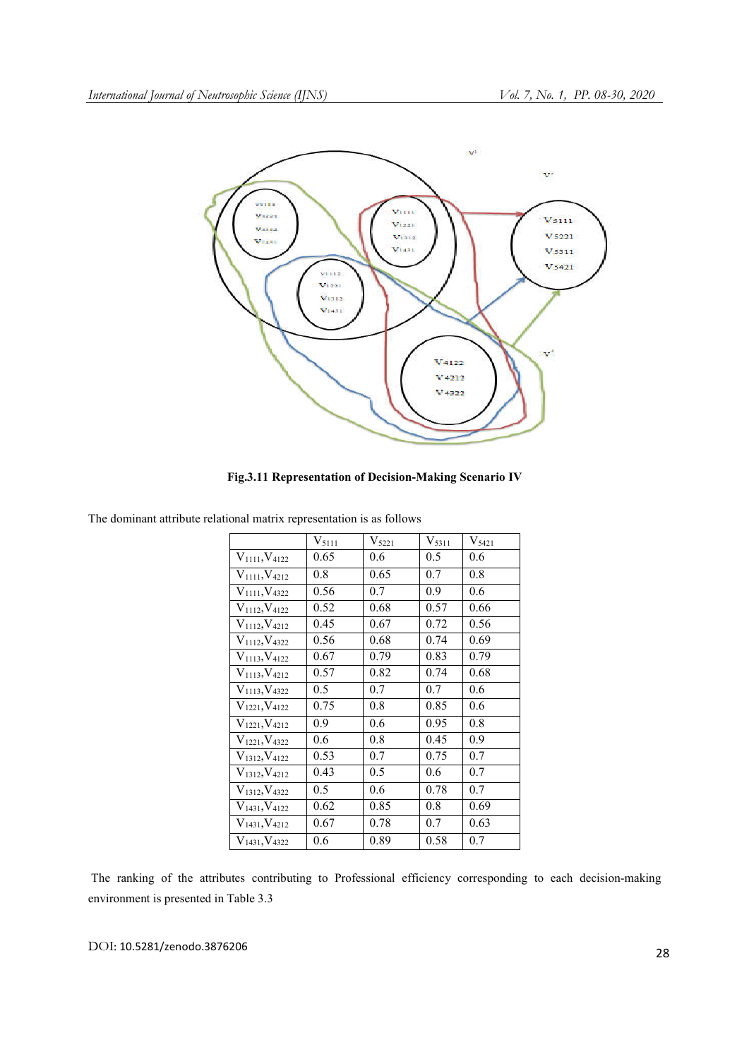

Fig.3.11 Representation of Decision-Making Scenario IV

|                         | $V_{5111}$ | $V_{5221}$ | $V_{5311}$ | $V_{5421}$ |
|-------------------------|------------|------------|------------|------------|
| $V_{1111}, V_{4122}$    | 0.65       | 0.6        | 0.5        | 0.6        |
| $V_{1111}, V_{4212}$    | 0.8        | 0.65       | 0.7        | 0.8        |
| $V_{1111}, V_{4322}$    | 0.56       | 0.7        | 0.9        | 0.6        |
| $V_{1112}, V_{4122}$    | 0.52       | 0.68       | 0.57       | 0.66       |
| $V_{1112}$ , $V_{4212}$ | 0.45       | 0.67       | 0.72       | 0.56       |
| $V_{1112}, V_{4322}$    | 0.56       | 0.68       | 0.74       | 0.69       |
| $V_{1113}, V_{4122}$    | 0.67       | 0.79       | 0.83       | 0.79       |
| $V_{1113}$ , $V_{4212}$ | 0.57       | 0.82       | 0.74       | 0.68       |
| $V_{1113}$ , $V_{4322}$ | 0.5        | 0.7        | 0.7        | 0.6        |
| $V_{1221}, V_{4122}$    | 0.75       | 0.8        | 0.85       | 0.6        |
| $V_{1221}, V_{4212}$    | 0.9        | 0.6        | 0.95       | 0.8        |
| $V_{1221}, V_{4322}$    | 0.6        | 0.8        | 0.45       | 0.9        |
| $V_{1312}, V_{4122}$    | 0.53       | 0.7        | 0.75       | 0.7        |
| $V_{1312}, V_{4212}$    | 0.43       | 0.5        | 0.6        | 0.7        |
| $V_{1312}, V_{4322}$    | 0.5        | 0.6        | 0.78       | 0.7        |
| $V_{1431}, V_{4122}$    | 0.62       | 0.85       | 0.8        | 0.69       |
| $V_{1431}, V_{4212}$    | 0.67       | 0.78       | 0.7        | 0.63       |
| $V_{1431}, V_{4322}$    | 0.6        | 0.89       | 0.58       | 0.7        |

The dominant attribute relational matrix representation is as follows

The ranking of the attributes contributing to Professional efficiency corresponding to each decision-making environment is presented in Table 3.3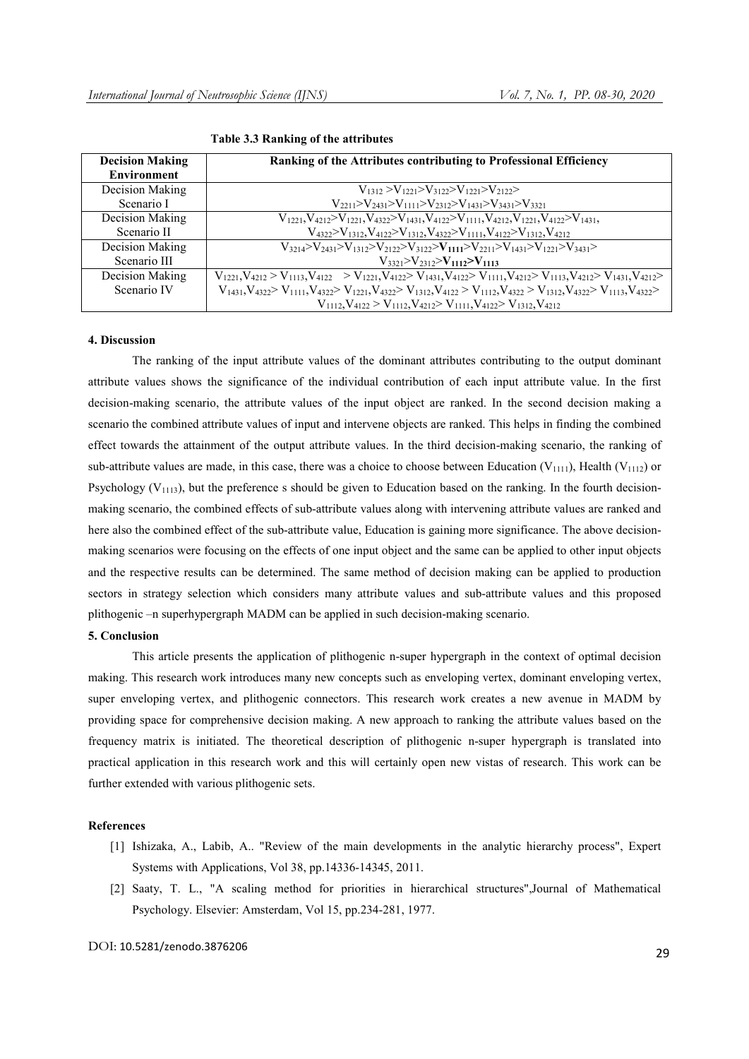| <b>Decision Making</b><br>Environment | Ranking of the Attributes contributing to Professional Efficiency                                                                                                                  |
|---------------------------------------|------------------------------------------------------------------------------------------------------------------------------------------------------------------------------------|
| Decision Making                       | $V_{1312} > V_{1221} > V_{3122} > V_{1221} > V_{2122} >$                                                                                                                           |
| Scenario I                            | $V_{2211} > V_{2431} > V_{1111} > V_{2312} > V_{1431} > V_{3431} > V_{3321}$                                                                                                       |
| Decision Making                       | $V_{1221}$ , $V_{4212}$ $V_{1221}$ , $V_{4322}$ $V_{1431}$ , $V_{4122}$ $V_{1111}$ , $V_{4212}$ , $V_{1221}$ , $V_{4122}$ $V_{1431}$ ,                                             |
| Scenario II                           | $V_{4322} > V_{1312}$ , $V_{4122} > V_{1312}$ , $V_{4322} > V_{1111}$ , $V_{4122} > V_{1312}$ , $V_{4212}$                                                                         |
| Decision Making                       | $V_{3214} > V_{2431} > V_{1312} > V_{2122} > V_{3122} > V_{1111} > V_{2211} > V_{1431} > V_{1221} > V_{3431} >$                                                                    |
| Scenario III                          | $V_{3321} > V_{2312} > V_{1112} > V_{1113}$                                                                                                                                        |
| Decision Making                       | $V_{1221}$ , $V_{4212} > V_{1113}$ , $V_{4122} > V_{1221}$ , $V_{4122} > V_{1431}$ , $V_{4122} > V_{1111}$ , $V_{4212} > V_{1113}$ , $V_{4212} > V_{1431}$ , $V_{4212} > V_{1431}$ |
| Scenario IV                           | $V_{1431}V_{4322} > V_{1111}V_{4322} > V_{1221}V_{4322} > V_{1312}V_{4122} > V_{1112}V_{4322} > V_{1312}V_{4322} > V_{1113}V_{4322}$                                               |
|                                       | $V_{1112}$ , $V_{4122} > V_{1112}$ , $V_{4212} > V_{1111}$ , $V_{4122} > V_{1312}$ , $V_{4212}$                                                                                    |

Table 3.3 Ranking of the attributes

## 4. Discussion

The ranking of the input attribute values of the dominant attributes contributing to the output dominant attribute values shows the significance of the individual contribution of each input attribute value. In the first decision-making scenario, the attribute values of the input object are ranked. In the second decision making a scenario the combined attribute values of input and intervene objects are ranked. This helps in finding the combined effect towards the attainment of the output attribute values. In the third decision-making scenario, the ranking of sub-attribute values are made, in this case, there was a choice to choose between Education ( $V_{1111}$ ), Health ( $V_{1112}$ ) or Psychology ( $V_{1113}$ ), but the preference s should be given to Education based on the ranking. In the fourth decisionmaking scenario, the combined effects of sub-attribute values along with intervening attribute values are ranked and here also the combined effect of the sub-attribute value, Education is gaining more significance. The above decisionmaking scenarios were focusing on the effects of one input object and the same can be applied to other input objects and the respective results can be determined. The same method of decision making can be applied to production sectors in strategy selection which considers many attribute values and sub-attribute values and this proposed plithogenic –n superhypergraph MADM can be applied in such decision-making scenario.

#### 5. Conclusion

This article presents the application of plithogenic n-super hypergraph in the context of optimal decision making. This research work introduces many new concepts such as enveloping vertex, dominant enveloping vertex, super enveloping vertex, and plithogenic connectors. This research work creates a new avenue in MADM by providing space for comprehensive decision making. A new approach to ranking the attribute values based on the frequency matrix is initiated. The theoretical description of plithogenic n-super hypergraph is translated into practical application in this research work and this will certainly open new vistas of research. This work can be further extended with various plithogenic sets.

## References

- [1] Ishizaka, A., Labib, A.. "Review of the main developments in the analytic hierarchy process", Expert Systems with Applications, Vol 38, pp.14336-14345, 2011.
- [2] Saaty, T. L., "A scaling method for priorities in hierarchical structures",Journal of Mathematical Psychology. Elsevier: Amsterdam, Vol 15, pp.234-281, 1977.